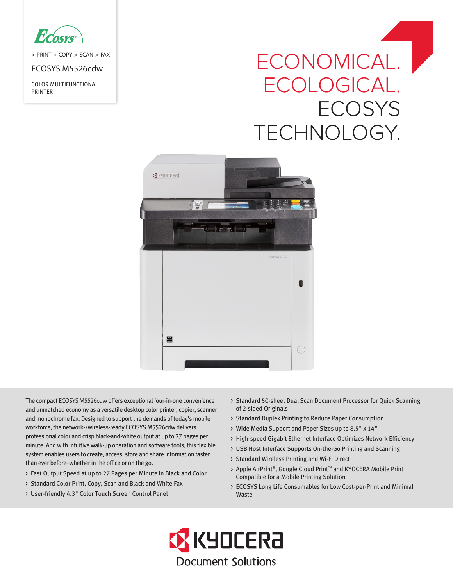

> PRINT > COPY > SCAN > FAX

ECOSYS M5526cdw

COLOR MULTIFUNCTIONAL PRINTER

# ECONOMICAL. ECOLOGICAL. **ECOSYS** TECHNOLOGY.



The compact ECOSYS M5526cdw offers exceptional four-in-one convenience and unmatched economy as a versatile desktop color printer, copier, scanner and monochrome fax. Designed to support the demands of today's mobile workforce, the network-/wireless-ready ECOSYS M5526cdw delivers professional color and crisp black-and-white output at up to 27 pages per minute. And with intuitive walk-up operation and software tools, this flexible system enables users to create, access, store and share information faster than ever before–whether in the office or on the go.

- > Fast Output Speed at up to 27 Pages per Minute in Black and Color
- > Standard Color Print, Copy, Scan and Black and White Fax
- > User-friendly 4.3" Color Touch Screen Control Panel
- > Standard 50-sheet Dual Scan Document Processor for Quick Scanning of 2-sided Originals
- > Standard Duplex Printing to Reduce Paper Consumption
- > Wide Media Support and Paper Sizes up to 8.5" x 14"
- > High-speed Gigabit Ethernet Interface Optimizes Network Efficiency
- > USB Host Interface Supports On-the-Go Printing and Scanning
- > Standard Wireless Printing and Wi-Fi Direct
- > Apple AirPrint®, Google Cloud Print™ and KYOCERA Mobile Print Compatible for a Mobile Printing Solution
- > ECOSYS Long Life Consumables for Low Cost-per-Print and Minimal Waste